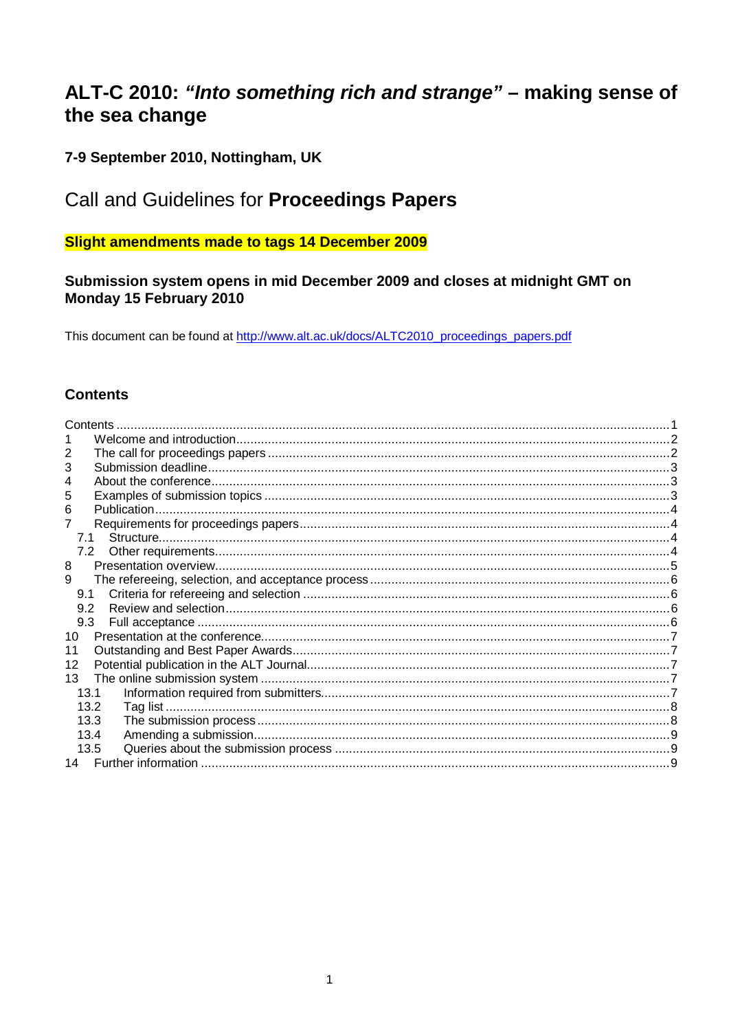# <span id="page-0-0"></span>ALT-C 2010: "Into something rich and strange" - making sense of the sea change

# 7-9 September 2010, Nottingham, UK

# Call and Guidelines for Proceedings Papers

# **Slight amendments made to tags 14 December 2009**

# Submission system opens in mid December 2009 and closes at midnight GMT on Monday 15 February 2010

This document can be found at http://www.alt.ac.uk/docs/ALTC2010\_proceedings\_papers.pdf

# **Contents**

| Contents |  |
|----------|--|
|          |  |
|          |  |
| 3        |  |
|          |  |
| 5        |  |
| 6        |  |
|          |  |
| 7.1      |  |
|          |  |
| 8        |  |
| 9        |  |
| 9.1      |  |
| 9.2      |  |
| 9.3      |  |
| 10       |  |
| 11       |  |
| 12       |  |
| 13       |  |
| 13.1     |  |
| 13.2     |  |
| 13.3     |  |
| 13.4     |  |
| 13.5     |  |
|          |  |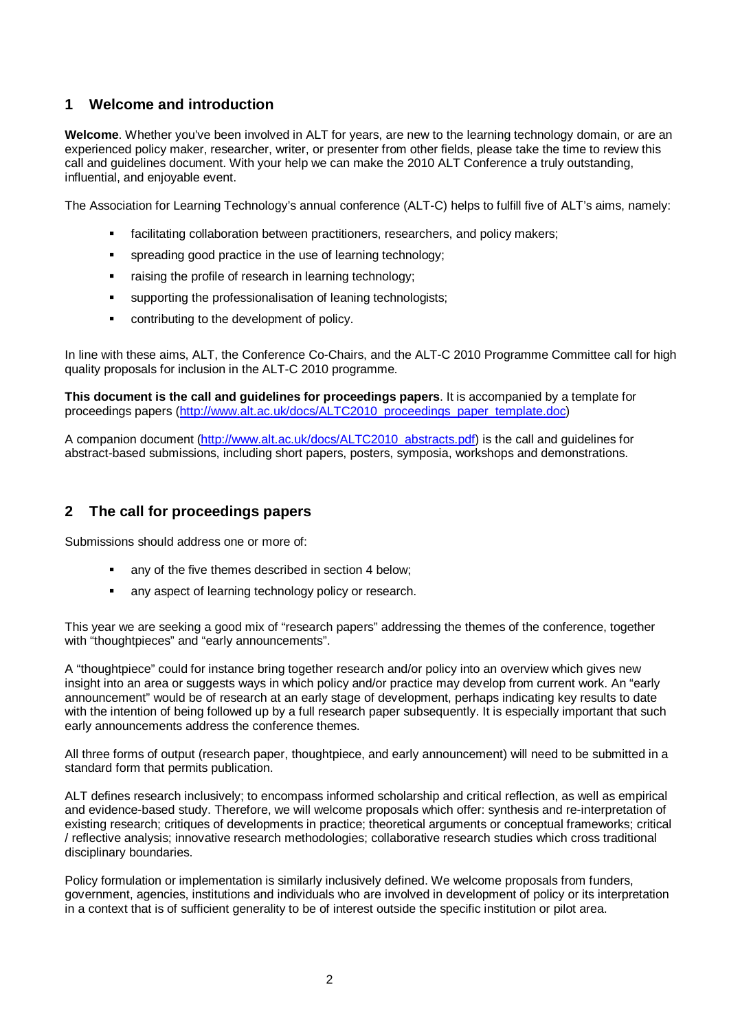## <span id="page-1-0"></span>**1 Welcome and introduction**

**Welcome**. Whether you've been involved in ALT for years, are new to the learning technology domain, or are an experienced policy maker, researcher, writer, or presenter from other fields, please take the time to review this call and guidelines document. With your help we can make the 2010 ALT Conference a truly outstanding, influential, and enjoyable event.

The Association for Learning Technology's annual conference (ALT-C) helps to fulfill five of ALT's aims, namely:

- facilitating collaboration between practitioners, researchers, and policy makers;
- spreading good practice in the use of learning technology;
- raising the profile of research in learning technology;
- supporting the professionalisation of leaning technologists;
- **EXECONTRE** contributing to the development of policy.

In line with these aims, ALT, the Conference Co-Chairs, and the ALT-C 2010 Programme Committee call for high quality proposals for inclusion in the ALT-C 2010 programme.

**This document is the call and guidelines for proceedings papers**. It is accompanied by a template for proceedings papers ([http://www.alt.ac.uk/docs/ALTC2010\\_proceedings\\_paper\\_template.doc](http://www.alt.ac.uk/docs/ALTC2010_proceedings_paper_template.doc))

A companion document [\(http://www.alt.ac.uk/docs/ALTC2010\\_abstracts.pdf](http://www.alt.ac.uk/docs/ALTC2010_abstracts.pdf)) is the call and guidelines for abstract-based submissions, including short papers, posters, symposia, workshops and demonstrations.

### **2 The call for proceedings papers**

Submissions should address one or more of:

- any of the five themes described in section 4 below;
- any aspect of learning technology policy or research.

This year we are seeking a good mix of "research papers" addressing the themes of the conference, together with "thoughtpieces" and "early announcements".

A "thoughtpiece" could for instance bring together research and/or policy into an overview which gives new insight into an area or suggests ways in which policy and/or practice may develop from current work. An "early announcement" would be of research at an early stage of development, perhaps indicating key results to date with the intention of being followed up by a full research paper subsequently. It is especially important that such early announcements address the conference themes.

All three forms of output (research paper, thoughtpiece, and early announcement) will need to be submitted in a standard form that permits publication.

ALT defines research inclusively; to encompass informed scholarship and critical reflection, as well as empirical and evidence-based study. Therefore, we will welcome proposals which offer: synthesis and re-interpretation of existing research; critiques of developments in practice; theoretical arguments or conceptual frameworks; critical / reflective analysis; innovative research methodologies; collaborative research studies which cross traditional disciplinary boundaries.

Policy formulation or implementation is similarly inclusively defined. We welcome proposals from funders, government, agencies, institutions and individuals who are involved in development of policy or its interpretation in a context that is of sufficient generality to be of interest outside the specific institution or pilot area.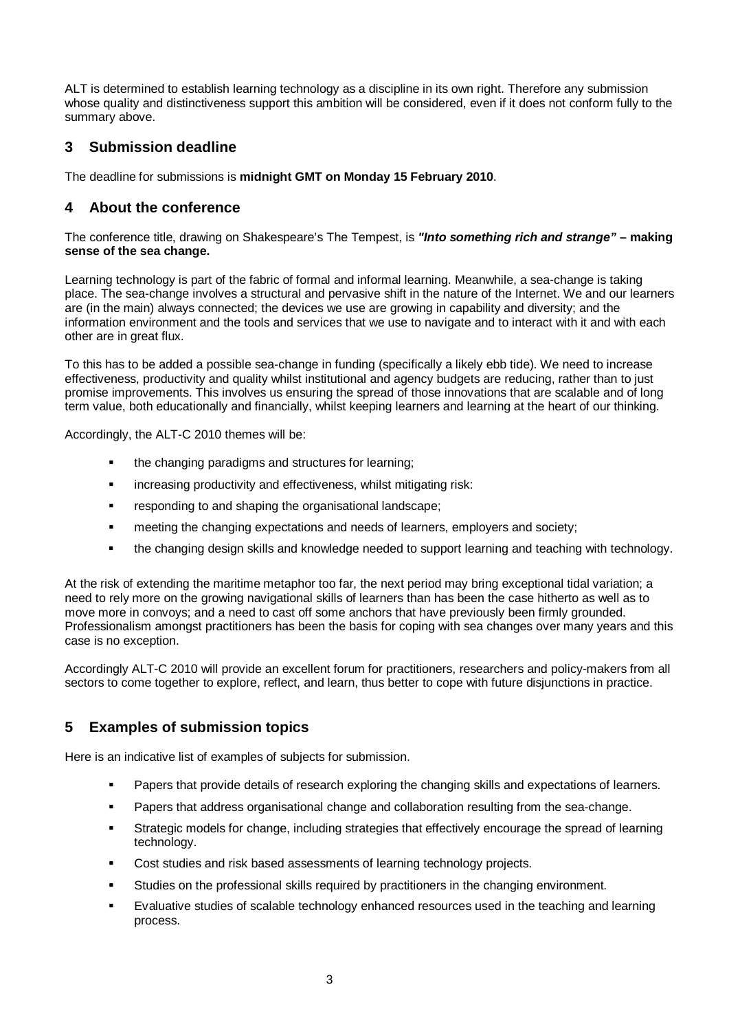<span id="page-2-0"></span>ALT is determined to establish learning technology as a discipline in its own right. Therefore any submission whose quality and distinctiveness support this ambition will be considered, even if it does not conform fully to the summary above.

# **3 Submission deadline**

The deadline for submissions is **midnight GMT on Monday 15 February 2010**.

# **4 About the conference**

The conference title, drawing on Shakespeare's The Tempest, is *"Into something rich and strange"* **– making sense of the sea change.** 

Learning technology is part of the fabric of formal and informal learning. Meanwhile, a sea-change is taking place. The sea-change involves a structural and pervasive shift in the nature of the Internet. We and our learners are (in the main) always connected; the devices we use are growing in capability and diversity; and the information environment and the tools and services that we use to navigate and to interact with it and with each other are in great flux.

To this has to be added a possible sea-change in funding (specifically a likely ebb tide). We need to increase effectiveness, productivity and quality whilst institutional and agency budgets are reducing, rather than to just promise improvements. This involves us ensuring the spread of those innovations that are scalable and of long term value, both educationally and financially, whilst keeping learners and learning at the heart of our thinking.

Accordingly, the ALT-C 2010 themes will be:

- the changing paradigms and structures for learning;
- **EXEDENT** increasing productivity and effectiveness, whilst mitigating risk:
- **Fig. 2** responding to and shaping the organisational landscape;
- **EXECT** meeting the changing expectations and needs of learners, employers and society;
- the changing design skills and knowledge needed to support learning and teaching with technology.

At the risk of extending the maritime metaphor too far, the next period may bring exceptional tidal variation; a need to rely more on the growing navigational skills of learners than has been the case hitherto as well as to move more in convoys; and a need to cast off some anchors that have previously been firmly grounded. Professionalism amongst practitioners has been the basis for coping with sea changes over many years and this case is no exception.

Accordingly ALT-C 2010 will provide an excellent forum for practitioners, researchers and policy-makers from all sectors to come together to explore, reflect, and learn, thus better to cope with future disjunctions in practice.

# **5 Examples of submission topics**

Here is an indicative list of examples of subjects for submission.

- **Papers that provide details of research exploring the changing skills and expectations of learners.**
- **Papers that address organisational change and collaboration resulting from the sea-change.**
- Strategic models for change, including strategies that effectively encourage the spread of learning technology.
- **Cost studies and risk based assessments of learning technology projects.**
- **Studies on the professional skills required by practitioners in the changing environment.**
- Evaluative studies of scalable technology enhanced resources used in the teaching and learning process.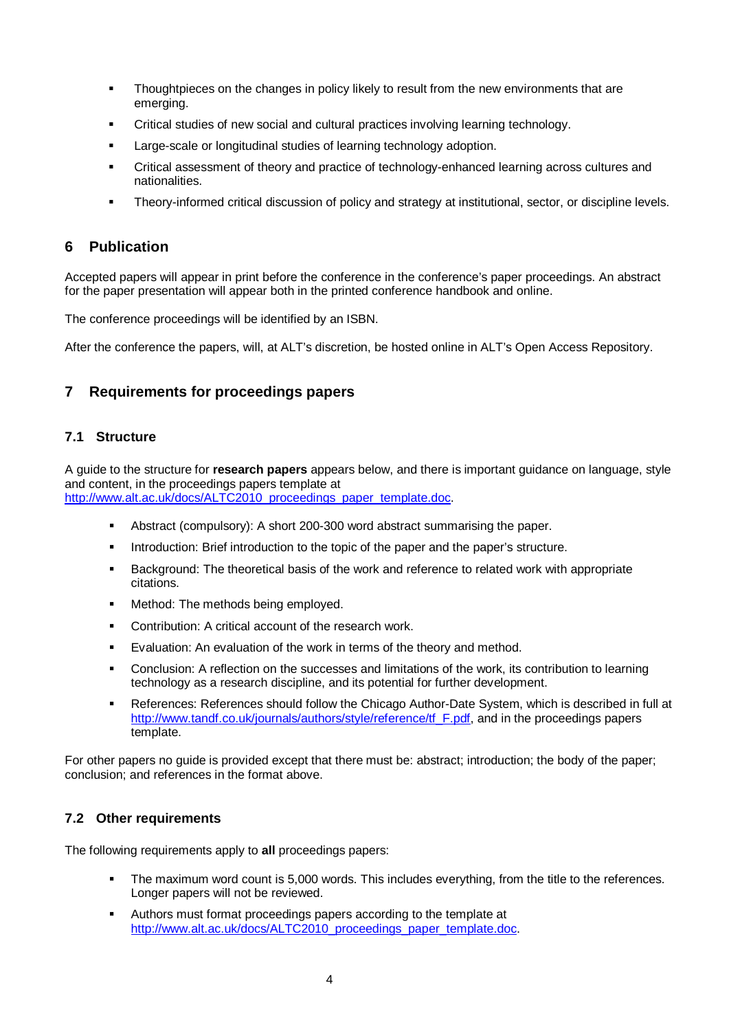- <span id="page-3-0"></span>**Thoughtpieces on the changes in policy likely to result from the new environments that are** emerging.
- Critical studies of new social and cultural practices involving learning technology.
- **EXEC** Large-scale or longitudinal studies of learning technology adoption.
- Critical assessment of theory and practice of technology-enhanced learning across cultures and nationalities.
- Theory-informed critical discussion of policy and strategy at institutional, sector, or discipline levels.

#### **6 Publication**

Accepted papers will appear in print before the conference in the conference's paper proceedings. An abstract for the paper presentation will appear both in the printed conference handbook and online.

The conference proceedings will be identified by an ISBN.

After the conference the papers, will, at ALT's discretion, be hosted online in ALT's Open Access Repository.

## **7 Requirements for proceedings papers**

#### **7.1 Structure**

A guide to the structure for **research papers** appears below, and there is important guidance on language, style and content, in the proceedings papers template at [http://www.alt.ac.uk/docs/ALTC2010\\_proceedings\\_paper\\_template.doc](http://www.alt.ac.uk/docs/ALTC2010_proceedings_paper_template.doc).

- Abstract (compulsory): A short 200-300 word abstract summarising the paper.
- **Introduction: Brief introduction to the topic of the paper and the paper's structure.**
- **Background: The theoretical basis of the work and reference to related work with appropriate** citations.
- **Method: The methods being employed.**
- **Contribution: A critical account of the research work.**
- **Evaluation: An evaluation of the work in terms of the theory and method.**
- Conclusion: A reflection on the successes and limitations of the work, its contribution to learning technology as a research discipline, and its potential for further development.
- References: References should follow the Chicago Author-Date System, which is described in full at [http://www.tandf.co.uk/journals/authors/style/reference/tf\\_F.pdf](http://www.tandf.co.uk/journals/authors/style/reference/tf_F.pdf), and in the proceedings papers template.

For other papers no guide is provided except that there must be: abstract; introduction; the body of the paper; conclusion; and references in the format above.

#### **7.2 Other requirements**

The following requirements apply to **all** proceedings papers:

- The maximum word count is 5,000 words. This includes everything, from the title to the references. Longer papers will not be reviewed.
- Authors must format proceedings papers according to the template at [http://www.alt.ac.uk/docs/ALTC2010\\_proceedings\\_paper\\_template.doc](http://www.alt.ac.uk/docs/ALTC2010_proceedings_paper_template.doc).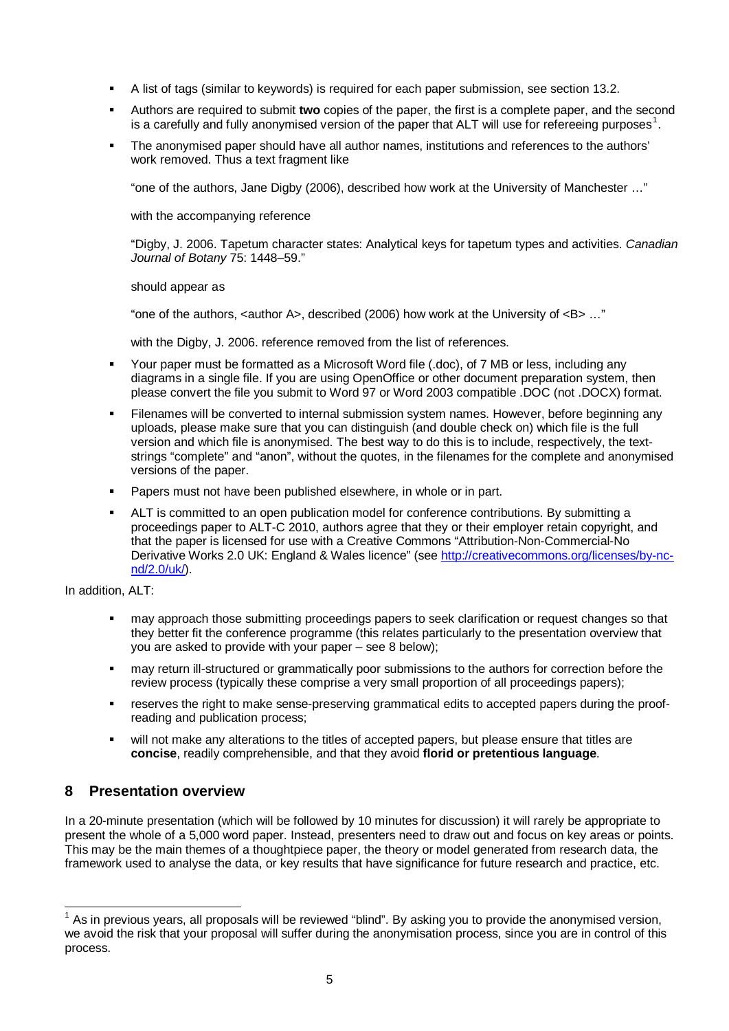- <span id="page-4-0"></span>A list of tags (similar to keywords) is required for each paper submission, see section 13.2.
- Authors are required to submit **two** copies of the paper, the first is a complete paper, and the second is a carefully and fully anonymised version of the paper that ALT will use for refereeing purposes<sup>[1](#page-4-1)</sup>.
- The anonymised paper should have all author names, institutions and references to the authors' work removed. Thus a text fragment like

"one of the authors, Jane Digby (2006), described how work at the University of Manchester …"

with the accompanying reference

"Digby, J. 2006. Tapetum character states: Analytical keys for tapetum types and activities. *Canadian Journal of Botany* 75: 1448–59."

should appear as

"one of the authors, <author A>, described (2006) how work at the University of  $\langle$ B> ..."

with the Digby, J. 2006. reference removed from the list of references.

- Your paper must be formatted as a Microsoft Word file (.doc), of 7 MB or less, including any diagrams in a single file. If you are using OpenOffice or other document preparation system, then please convert the file you submit to Word 97 or Word 2003 compatible .DOC (not .DOCX) format.
- Filenames will be converted to internal submission system names. However, before beginning any uploads, please make sure that you can distinguish (and double check on) which file is the full version and which file is anonymised. The best way to do this is to include, respectively, the textstrings "complete" and "anon", without the quotes, in the filenames for the complete and anonymised versions of the paper.
- **Papers must not have been published elsewhere, in whole or in part.**
- ALT is committed to an open publication model for conference contributions. By submitting a proceedings paper to ALT-C 2010, authors agree that they or their employer retain copyright, and that the paper is licensed for use with a Creative Commons "Attribution-Non-Commercial-No Derivative Works 2.0 UK: England & Wales licence" (see [http://creativecommons.org/licenses/by-nc](http://creativecommons.org/licenses/by-nc-nd/2.0/uk/)[nd/2.0/uk/\)](http://creativecommons.org/licenses/by-nc-nd/2.0/uk/).

In addition, ALT:

- may approach those submitting proceedings papers to seek clarification or request changes so that they better fit the conference programme (this relates particularly to the presentation overview that you are asked to provide with your paper – see 8 below);
- may return ill-structured or grammatically poor submissions to the authors for correction before the review process (typically these comprise a very small proportion of all proceedings papers);
- reserves the right to make sense-preserving grammatical edits to accepted papers during the proofreading and publication process;
- will not make any alterations to the titles of accepted papers, but please ensure that titles are **concise**, readily comprehensible, and that they avoid **florid or pretentious language**.

# **8 Presentation overview**

In a 20-minute presentation (which will be followed by 10 minutes for discussion) it will rarely be appropriate to present the whole of a 5,000 word paper. Instead, presenters need to draw out and focus on key areas or points. This may be the main themes of a thoughtpiece paper, the theory or model generated from research data, the framework used to analyse the data, or key results that have significance for future research and practice, etc.

<span id="page-4-1"></span> $\overline{\phantom{a}}$  $1$  As in previous years, all proposals will be reviewed "blind". By asking you to provide the anonymised version, we avoid the risk that your proposal will suffer during the anonymisation process, since you are in control of this process.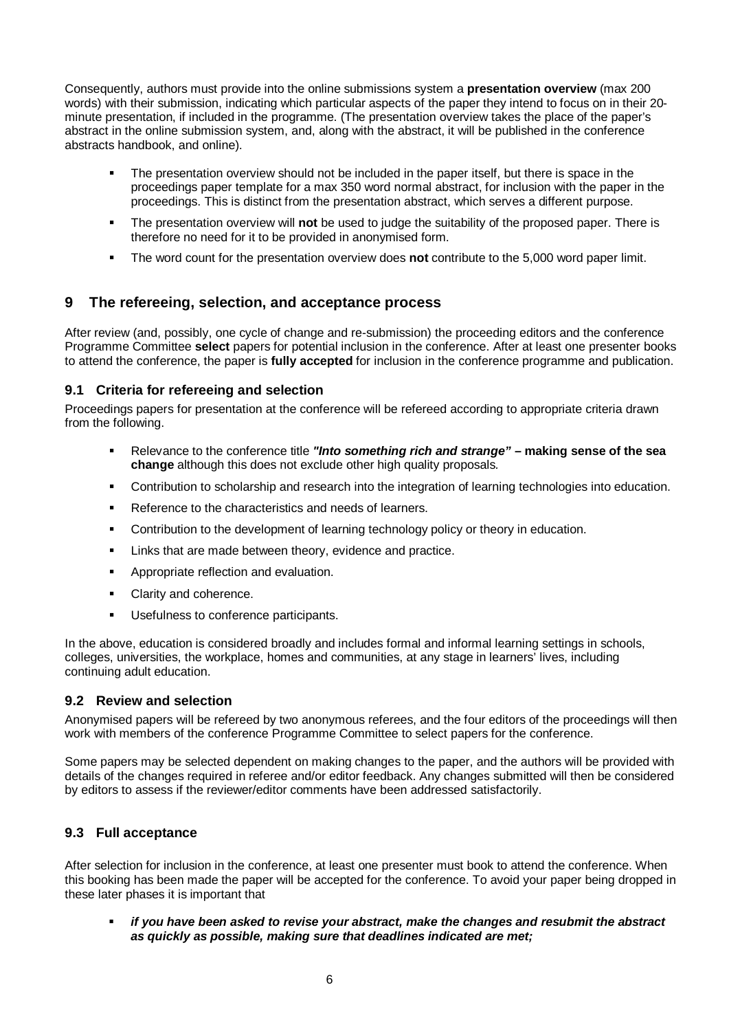<span id="page-5-0"></span>Consequently, authors must provide into the online submissions system a **presentation overview** (max 200 words) with their submission, indicating which particular aspects of the paper they intend to focus on in their 20 minute presentation, if included in the programme. (The presentation overview takes the place of the paper's abstract in the online submission system, and, along with the abstract, it will be published in the conference abstracts handbook, and online).

- The presentation overview should not be included in the paper itself, but there is space in the proceedings paper template for a max 350 word normal abstract, for inclusion with the paper in the proceedings. This is distinct from the presentation abstract, which serves a different purpose.
- The presentation overview will **not** be used to judge the suitability of the proposed paper. There is therefore no need for it to be provided in anonymised form.
- The word count for the presentation overview does **not** contribute to the 5,000 word paper limit.

# **9 The refereeing, selection, and acceptance process**

After review (and, possibly, one cycle of change and re-submission) the proceeding editors and the conference Programme Committee **select** papers for potential inclusion in the conference. After at least one presenter books to attend the conference, the paper is **fully accepted** for inclusion in the conference programme and publication.

### **9.1 Criteria for refereeing and selection**

Proceedings papers for presentation at the conference will be refereed according to appropriate criteria drawn from the following.

- Relevance to the conference title *"Into something rich and strange"*  **making sense of the sea change** although this does not exclude other high quality proposals*.*
- **Contribution to scholarship and research into the integration of learning technologies into education.**
- Reference to the characteristics and needs of learners.
- **Contribution to the development of learning technology policy or theory in education.**
- **EXECT** Links that are made between theory, evidence and practice.
- **Appropriate reflection and evaluation.**
- Clarity and coherence.
- **Usefulness to conference participants.**

In the above, education is considered broadly and includes formal and informal learning settings in schools, colleges, universities, the workplace, homes and communities, at any stage in learners' lives, including continuing adult education.

### **9.2 Review and selection**

Anonymised papers will be refereed by two anonymous referees, and the four editors of the proceedings will then work with members of the conference Programme Committee to select papers for the conference.

Some papers may be selected dependent on making changes to the paper, and the authors will be provided with details of the changes required in referee and/or editor feedback. Any changes submitted will then be considered by editors to assess if the reviewer/editor comments have been addressed satisfactorily.

### **9.3 Full acceptance**

After selection for inclusion in the conference, at least one presenter must book to attend the conference. When this booking has been made the paper will be accepted for the conference. To avoid your paper being dropped in these later phases it is important that

 *if you have been asked to revise your abstract, make the changes and resubmit the abstract as quickly as possible, making sure that deadlines indicated are met;*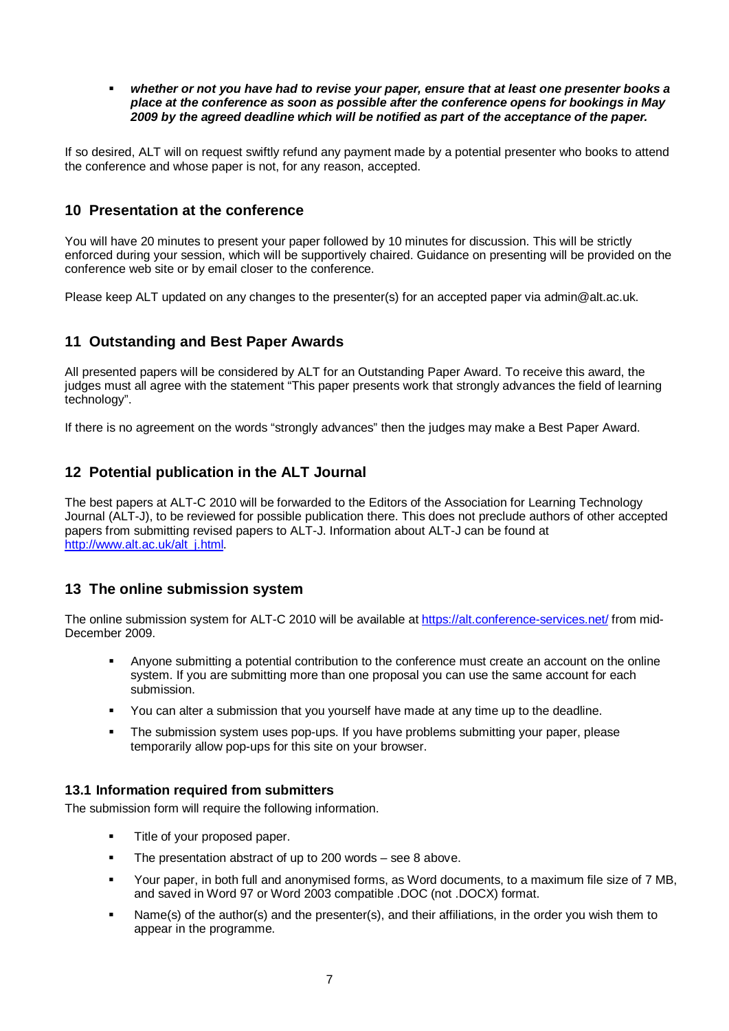<span id="page-6-0"></span> *whether or not you have had to revise your paper, ensure that at least one presenter books a place at the conference as soon as possible after the conference opens for bookings in May 2009 by the agreed deadline which will be notified as part of the acceptance of the paper.* 

If so desired, ALT will on request swiftly refund any payment made by a potential presenter who books to attend the conference and whose paper is not, for any reason, accepted.

## **10 Presentation at the conference**

You will have 20 minutes to present your paper followed by 10 minutes for discussion. This will be strictly enforced during your session, which will be supportively chaired. Guidance on presenting will be provided on the conference web site or by email closer to the conference.

Please keep ALT updated on any changes to the presenter(s) for an accepted paper via admin@alt.ac.uk.

## **11 Outstanding and Best Paper Awards**

All presented papers will be considered by ALT for an Outstanding Paper Award. To receive this award, the judges must all agree with the statement "This paper presents work that strongly advances the field of learning technology".

If there is no agreement on the words "strongly advances" then the judges may make a Best Paper Award.

# **12 Potential publication in the ALT Journal**

The best papers at ALT-C 2010 will be forwarded to the Editors of the Association for Learning Technology Journal (ALT-J), to be reviewed for possible publication there. This does not preclude authors of other accepted papers from submitting revised papers to ALT-J. Information about ALT-J can be found at [http://www.alt.ac.uk/alt\\_j.html.](http://www.alt.ac.uk/alt_j.html)

# **13 The online submission system**

The online submission system for ALT-C 2010 will be available at <https://alt.conference-services.net/> from mid-December 2009.

- Anyone submitting a potential contribution to the conference must create an account on the online system. If you are submitting more than one proposal you can use the same account for each submission.
- You can alter a submission that you yourself have made at any time up to the deadline.
- The submission system uses pop-ups. If you have problems submitting your paper, please temporarily allow pop-ups for this site on your browser.

#### **13.1 Information required from submitters**

The submission form will require the following information.

- **Title of your proposed paper.**
- The presentation abstract of up to 200 words see 8 above.
- Your paper, in both full and anonymised forms, as Word documents, to a maximum file size of 7 MB, and saved in Word 97 or Word 2003 compatible .DOC (not .DOCX) format.
- Name(s) of the author(s) and the presenter(s), and their affiliations, in the order you wish them to appear in the programme.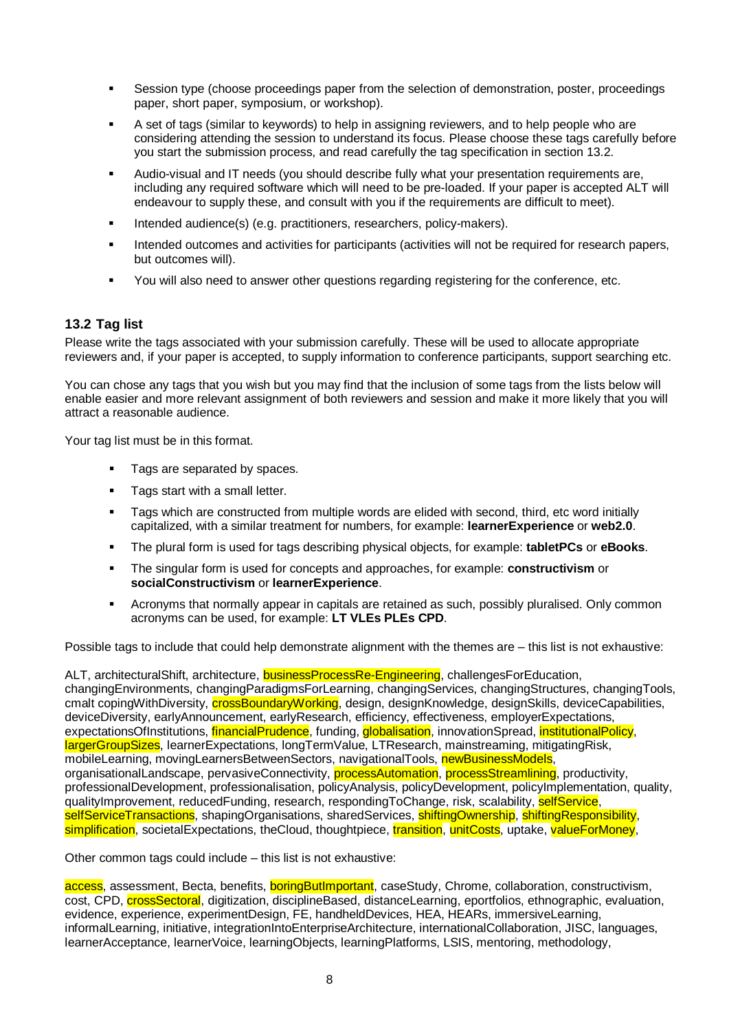- <span id="page-7-0"></span> Session type (choose proceedings paper from the selection of demonstration, poster, proceedings paper, short paper, symposium, or workshop).
- A set of tags (similar to keywords) to help in assigning reviewers, and to help people who are considering attending the session to understand its focus. Please choose these tags carefully before you start the submission process, and read carefully the tag specification in section 13.2.
- Audio-visual and IT needs (you should describe fully what your presentation requirements are, including any required software which will need to be pre-loaded. If your paper is accepted ALT will endeavour to supply these, and consult with you if the requirements are difficult to meet).
- Intended audience(s) (e.g. practitioners, researchers, policy-makers).
- **Intended outcomes and activities for participants (activities will not be required for research papers,** but outcomes will).
- You will also need to answer other questions regarding registering for the conference, etc.

### **13.2 Tag list**

Please write the tags associated with your submission carefully. These will be used to allocate appropriate reviewers and, if your paper is accepted, to supply information to conference participants, support searching etc.

You can chose any tags that you wish but you may find that the inclusion of some tags from the lists below will enable easier and more relevant assignment of both reviewers and session and make it more likely that you will attract a reasonable audience.

Your tag list must be in this format.

- **Tags are separated by spaces.**
- **Tags start with a small letter.**
- Tags which are constructed from multiple words are elided with second, third, etc word initially capitalized, with a similar treatment for numbers, for example: **learnerExperience** or **web2.0**.
- The plural form is used for tags describing physical objects, for example: **tabletPCs** or **eBooks**.
- The singular form is used for concepts and approaches, for example: **constructivism** or **socialConstructivism** or **learnerExperience**.
- Acronyms that normally appear in capitals are retained as such, possibly pluralised. Only common acronyms can be used, for example: **LT VLEs PLEs CPD**.

Possible tags to include that could help demonstrate alignment with the themes are – this list is not exhaustive:

ALT, architecturalShift, architecture, businessProcessRe-Engineering, challengesForEducation, changingEnvironments, changingParadigmsForLearning, changingServices, changingStructures, changingTools, cmalt copingWithDiversity, **crossBoundaryWorking**, design, designKnowledge, designSkills, deviceCapabilities, deviceDiversity, earlyAnnouncement, earlyResearch, efficiency, effectiveness, employerExpectations, expectationsOfInstitutions, *financialPrudence*, funding, *globalisation*, innovationSpread, *institutionalPolicy*, largerGroupSizes, learnerExpectations, longTermValue, LTResearch, mainstreaming, mitigatingRisk, mobileLearning, movingLearnersBetweenSectors, navigationalTools, newBusinessModels, organisationalLandscape, pervasiveConnectivity, **processAutomation**, **processStreamlining**, productivity, professionalDevelopment, professionalisation, policyAnalysis, policyDevelopment, policyImplementation, quality, qualityImprovement, reducedFunding, research, respondingToChange, risk, scalability, selfService, selfServiceTransactions, shapingOrganisations, sharedServices, shiftingOwnership, shiftingResponsibility, simplification, societalExpectations, theCloud, thoughtpiece, transition, unitCosts, uptake, valueForMoney,

Other common tags could include – this list is not exhaustive:

access, assessment, Becta, benefits, **boringButImportant**, caseStudy, Chrome, collaboration, constructivism, cost, CPD, crossSectoral, digitization, disciplineBased, distanceLearning, eportfolios, ethnographic, evaluation, evidence, experience, experimentDesign, FE, handheldDevices, HEA, HEARs, immersiveLearning, informalLearning, initiative, integrationIntoEnterpriseArchitecture, internationalCollaboration, JISC, languages, learnerAcceptance, learnerVoice, learningObjects, learningPlatforms, LSIS, mentoring, methodology,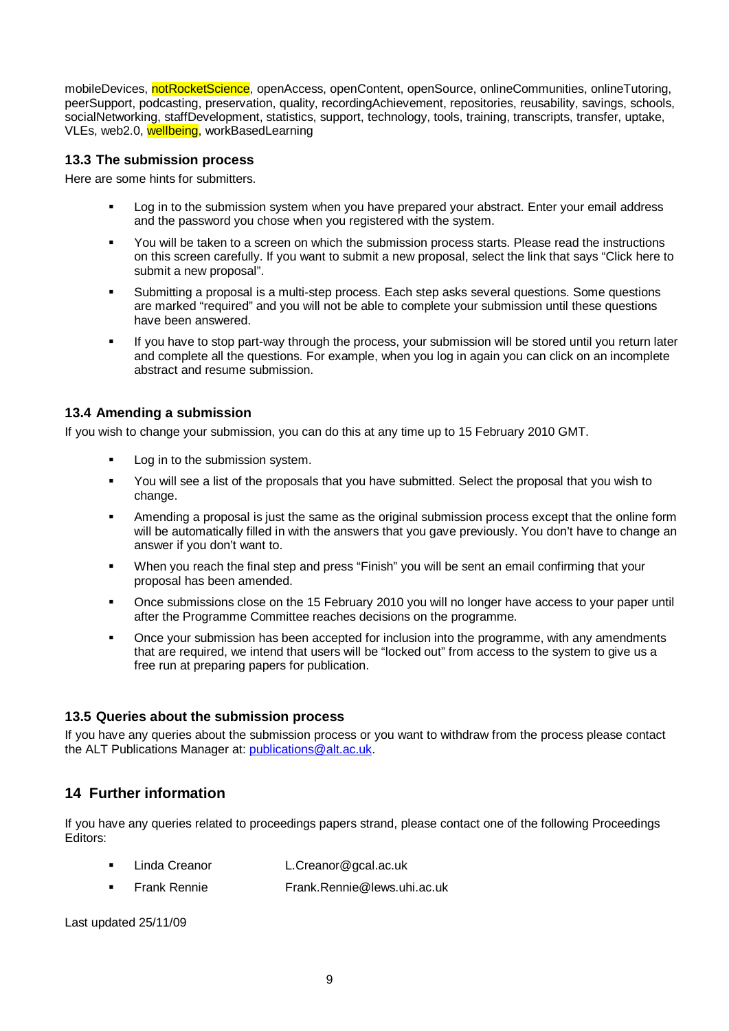<span id="page-8-0"></span>mobileDevices, notRocketScience, openAccess, openContent, openSource, onlineCommunities, onlineTutoring, peerSupport, podcasting, preservation, quality, recordingAchievement, repositories, reusability, savings, schools, socialNetworking, staffDevelopment, statistics, support, technology, tools, training, transcripts, transfer, uptake, VLEs, web2.0, wellbeing, workBasedLearning

#### **13.3 The submission process**

Here are some hints for submitters.

- Log in to the submission system when you have prepared your abstract. Enter your email address and the password you chose when you registered with the system.
- You will be taken to a screen on which the submission process starts. Please read the instructions on this screen carefully. If you want to submit a new proposal, select the link that says "Click here to submit a new proposal".
- Submitting a proposal is a multi-step process. Each step asks several questions. Some questions are marked "required" and you will not be able to complete your submission until these questions have been answered.
- If you have to stop part-way through the process, your submission will be stored until you return later and complete all the questions. For example, when you log in again you can click on an incomplete abstract and resume submission.

#### **13.4 Amending a submission**

If you wish to change your submission, you can do this at any time up to 15 February 2010 GMT.

- Log in to the submission system.
- You will see a list of the proposals that you have submitted. Select the proposal that you wish to change.
- Amending a proposal is just the same as the original submission process except that the online form will be automatically filled in with the answers that you gave previously. You don't have to change an answer if you don't want to.
- When you reach the final step and press "Finish" you will be sent an email confirming that your proposal has been amended.
- Once submissions close on the 15 February 2010 you will no longer have access to your paper until after the Programme Committee reaches decisions on the programme.
- Once your submission has been accepted for inclusion into the programme, with any amendments that are required, we intend that users will be "locked out" from access to the system to give us a free run at preparing papers for publication.

#### **13.5 Queries about the submission process**

If you have any queries about the submission process or you want to withdraw from the process please contact the ALT Publications Manager at: [publications@alt.ac.uk.](mailto:publications@alt.ac.uk)

### **14 Further information**

If you have any queries related to proceedings papers strand, please contact one of the following Proceedings Editors:

- Linda Creanor L.Creanor@gcal.ac.uk
- Frank Rennie Frank.Rennie@lews.uhi.ac.uk

Last updated 25/11/09